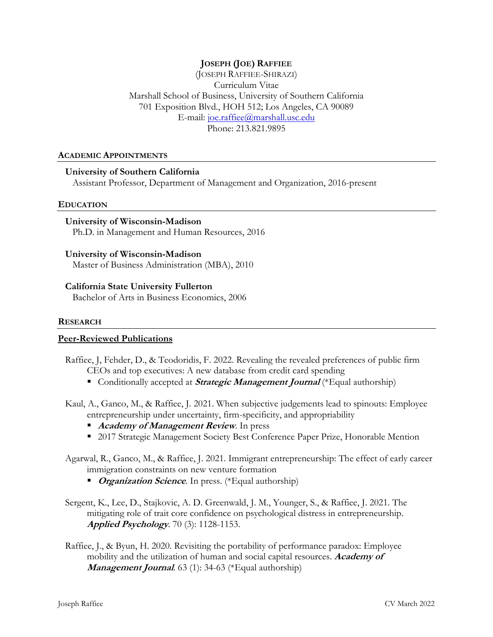# **JOSEPH (JOE) RAFFIEE**

(JOSEPH RAFFIEE-SHIRAZI) Curriculum Vitae Marshall School of Business, University of Southern California 701 Exposition Blvd., HOH 512; Los Angeles, CA 90089 E-mail: [joe.raffiee@marshall.usc.edu](mailto:joe.raffiee@marshall.usc.edu) Phone: 213.821.9895

#### **ACADEMIC APPOINTMENTS**

### **University of Southern California**

Assistant Professor, Department of Management and Organization, 2016-present

#### **EDUCATION**

**University of Wisconsin-Madison** Ph.D. in Management and Human Resources, 2016

#### **University of Wisconsin-Madison**

Master of Business Administration (MBA), 2010

**California State University Fullerton**

Bachelor of Arts in Business Economics, 2006

#### **RESEARCH**

#### **Peer-Reviewed Publications**

Raffiee, J, Fehder, D., & Teodoridis, F. 2022. Revealing the revealed preferences of public firm CEOs and top executives: A new database from credit card spending

- **Conditionally accepted at** *Strategic Management Journal* (\*Equal authorship)
- Kaul, A., Ganco, M., & Raffiee, J. 2021. When subjective judgements lead to spinouts: Employee entrepreneurship under uncertainty, firm-specificity, and appropriability
	- **Academy of Management Review.** In press
	- 2017 Strategic Management Society Best Conference Paper Prize, Honorable Mention
- Agarwal, R., Ganco, M., & Raffiee, J. 2021. Immigrant entrepreneurship: The effect of early career immigration constraints on new venture formation
	- *Organization Science*. In press. (\*Equal authorship)
- Sergent, K., Lee, D., Stajkovic, A. D. Greenwald, J. M., Younger, S., & Raffiee, J. 2021. The mitigating role of trait core confidence on psychological distress in entrepreneurship. **Applied Psychology**. 70 (3): 1128-1153.
- Raffiee, J., & Byun, H. 2020. Revisiting the portability of performance paradox: Employee mobility and the utilization of human and social capital resources. **Academy of Management Journal**. 63 (1): 34-63 (\*Equal authorship)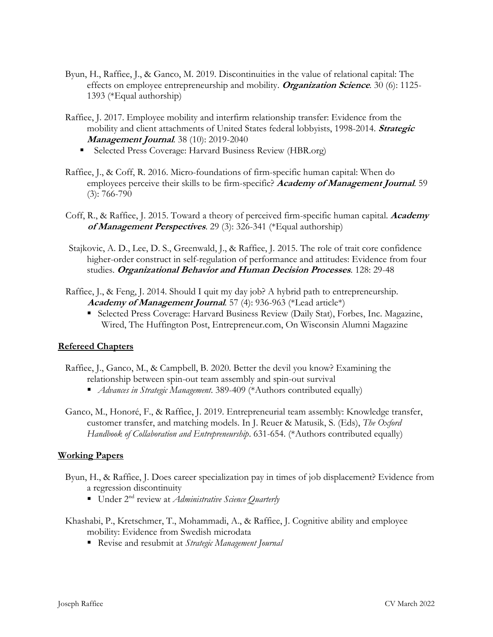- Byun, H., Raffiee, J., & Ganco, M. 2019. Discontinuities in the value of relational capital: The effects on employee entrepreneurship and mobility. **Organization Science**. 30 (6): 1125- 1393 (\*Equal authorship)
- Raffiee, J. 2017. Employee mobility and interfirm relationship transfer: Evidence from the mobility and client attachments of United States federal lobbyists, 1998-2014. **Strategic Management Journal**. 38 (10): 2019-2040
	- Selected Press Coverage: Harvard Business Review (HBR.org)
- Raffiee, J., & Coff, R. 2016. Micro-foundations of firm-specific human capital: When do employees perceive their skills to be firm-specific? **Academy of Management Journal**. 59 (3): 766-790
- Coff, R., & Raffiee, J. 2015. Toward a theory of perceived firm-specific human capital. **Academy of Management Perspectives**. 29 (3): 326-341 (\*Equal authorship)
- Stajkovic, A. D., Lee, D. S., Greenwald, J., & Raffiee, J. 2015. The role of trait core confidence higher-order construct in self-regulation of performance and attitudes: Evidence from four studies. **Organizational Behavior and Human Decision Processes**. 128: 29-48
- Raffiee, J., & Feng, J. 2014. Should I quit my day job? A hybrid path to entrepreneurship. **Academy of Management Journal**. 57 (4): 936-963 (\*Lead article\*)
	- Selected Press Coverage: Harvard Business Review (Daily Stat), Forbes, Inc. Magazine, Wired, The Huffington Post, Entrepreneur.com, On Wisconsin Alumni Magazine

# **Refereed Chapters**

- Raffiee, J., Ganco, M., & Campbell, B. 2020. Better the devil you know? Examining the relationship between spin-out team assembly and spin-out survival
	- *Advances in Strategic Management*. 389-409 (\*Authors contributed equally)
- Ganco, M., Honoré, F., & Raffiee, J. 2019. Entrepreneurial team assembly: Knowledge transfer, customer transfer, and matching models. In J. Reuer & Matusik, S. (Eds), *The Oxford Handbook of Collaboration and Entrepreneurship*. 631-654. (\*Authors contributed equally)

# **Working Papers**

- Byun, H., & Raffiee, J. Does career specialization pay in times of job displacement? Evidence from a regression discontinuity
	- Under 2<sup>nd</sup> review at *Administrative Science Quarterly*
- Khashabi, P., Kretschmer, T., Mohammadi, A., & Raffiee, J. Cognitive ability and employee mobility: Evidence from Swedish microdata
	- Revise and resubmit at *Strategic Management Journal*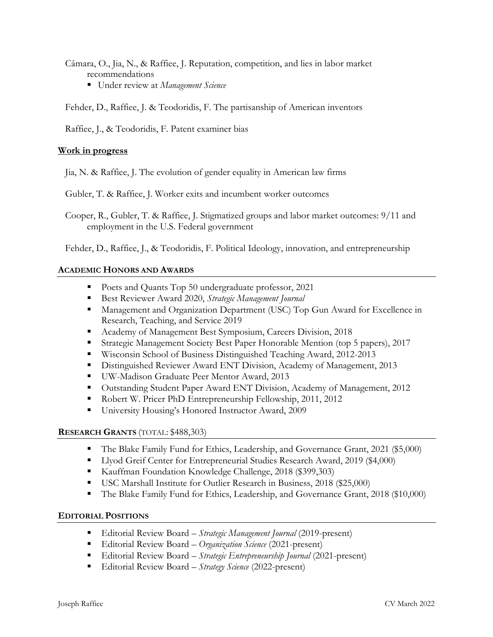- Câmara, O., Jia, N., & Raffiee, J. Reputation, competition, and lies in labor market recommendations
	- Under review at *Management Science*

Fehder, D., Raffiee, J. & Teodoridis, F. The partisanship of American inventors

Raffiee, J., & Teodoridis, F. Patent examiner bias

### **Work in progress**

Jia, N. & Raffiee, J. The evolution of gender equality in American law firms

Gubler, T. & Raffiee, J. Worker exits and incumbent worker outcomes

Cooper, R., Gubler, T. & Raffiee, J. Stigmatized groups and labor market outcomes: 9/11 and employment in the U.S. Federal government

Fehder, D., Raffiee, J., & Teodoridis, F. Political Ideology, innovation, and entrepreneurship

### **ACADEMIC HONORS AND AWARDS**

- Poets and Quants Top 50 undergraduate professor, 2021
- Best Reviewer Award 2020, *Strategic Management Journal*
- **Management and Organization Department (USC) Top Gun Award for Excellence in** Research, Teaching, and Service 2019
- **Academy of Management Best Symposium, Careers Division, 2018**
- Strategic Management Society Best Paper Honorable Mention (top 5 papers), 2017
- Wisconsin School of Business Distinguished Teaching Award, 2012-2013
- Distinguished Reviewer Award ENT Division, Academy of Management, 2013
- UW-Madison Graduate Peer Mentor Award, 2013
- Outstanding Student Paper Award ENT Division, Academy of Management, 2012
- Robert W. Pricer PhD Entrepreneurship Fellowship, 2011, 2012
- University Housing's Honored Instructor Award, 2009

### **RESEARCH GRANTS** (TOTAL: \$488,303)

- The Blake Family Fund for Ethics, Leadership, and Governance Grant, 2021 (\$5,000)
- **Llyod Greif Center for Entrepreneurial Studies Research Award, 2019 (\$4,000)**
- Kauffman Foundation Knowledge Challenge, 2018 (\$399,303)
- USC Marshall Institute for Outlier Research in Business, 2018 (\$25,000)
- The Blake Family Fund for Ethics, Leadership, and Governance Grant, 2018 (\$10,000)

### **EDITORIAL POSITIONS**

- Editorial Review Board *Strategic Management Journal* (2019-present)
- Editorial Review Board *Organization Science* (2021-present)
- Editorial Review Board *Strategic Entrepreneurship Journal* (2021-present)
- Editorial Review Board *Strategy Science* (2022-present)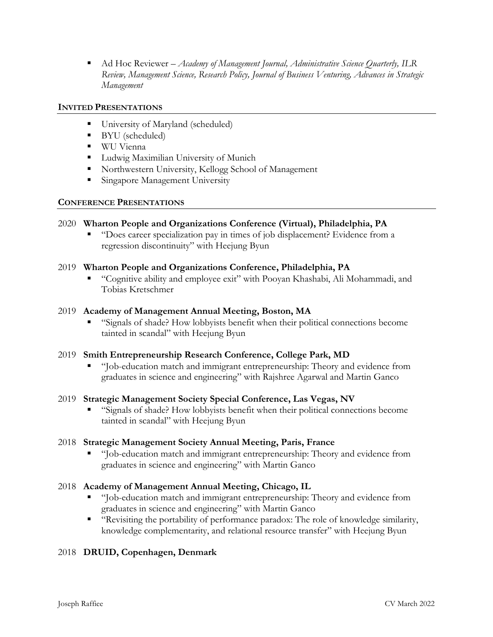Ad Hoc Reviewer – *Academy of Management Journal, Administrative Science Quarterly, ILR Review, Management Science, Research Policy, Journal of Business Venturing, Advances in Strategic Management*

### **INVITED PRESENTATIONS**

- University of Maryland (scheduled)
- BYU (scheduled)
- **WU Vienna**
- **Ludwig Maximilian University of Munich**
- Northwestern University, Kellogg School of Management
- **Singapore Management University**

### **CONFERENCE PRESENTATIONS**

# 2020 **Wharton People and Organizations Conference (Virtual), Philadelphia, PA**

 "Does career specialization pay in times of job displacement? Evidence from a regression discontinuity" with Heejung Byun

### 2019 **Wharton People and Organizations Conference, Philadelphia, PA**

 "Cognitive ability and employee exit" with Pooyan Khashabi, Ali Mohammadi, and Tobias Kretschmer

### 2019 **Academy of Management Annual Meeting, Boston, MA**

 "Signals of shade? How lobbyists benefit when their political connections become tainted in scandal" with Heejung Byun

# 2019 **Smith Entrepreneurship Research Conference, College Park, MD**

 "Job-education match and immigrant entrepreneurship: Theory and evidence from graduates in science and engineering" with Rajshree Agarwal and Martin Ganco

### 2019 **Strategic Management Society Special Conference, Las Vegas, NV**

 "Signals of shade? How lobbyists benefit when their political connections become tainted in scandal" with Heejung Byun

# 2018 **Strategic Management Society Annual Meeting, Paris, France**

 "Job-education match and immigrant entrepreneurship: Theory and evidence from graduates in science and engineering" with Martin Ganco

# 2018 **Academy of Management Annual Meeting, Chicago, IL**

- "Job-education match and immigrant entrepreneurship: Theory and evidence from graduates in science and engineering" with Martin Ganco
- "Revisiting the portability of performance paradox: The role of knowledge similarity, knowledge complementarity, and relational resource transfer" with Heejung Byun

# 2018 **DRUID, Copenhagen, Denmark**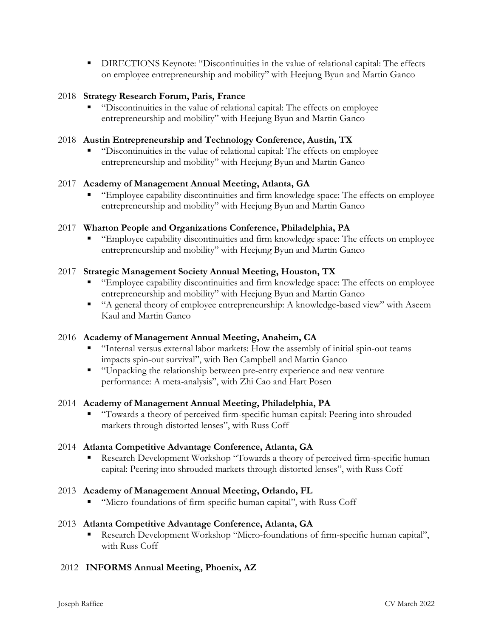**DIRECTIONS Keynote: "Discontinuities in the value of relational capital: The effects** on employee entrepreneurship and mobility" with Heejung Byun and Martin Ganco

## 2018 **Strategy Research Forum, Paris, France**

 "Discontinuities in the value of relational capital: The effects on employee entrepreneurship and mobility" with Heejung Byun and Martin Ganco

## 2018 **Austin Entrepreneurship and Technology Conference, Austin, TX**

 "Discontinuities in the value of relational capital: The effects on employee entrepreneurship and mobility" with Heejung Byun and Martin Ganco

### 2017 **Academy of Management Annual Meeting, Atlanta, GA**

 "Employee capability discontinuities and firm knowledge space: The effects on employee entrepreneurship and mobility" with Heejung Byun and Martin Ganco

### 2017 **Wharton People and Organizations Conference, Philadelphia, PA**

 "Employee capability discontinuities and firm knowledge space: The effects on employee entrepreneurship and mobility" with Heejung Byun and Martin Ganco

### 2017 **Strategic Management Society Annual Meeting, Houston, TX**

- "Employee capability discontinuities and firm knowledge space: The effects on employee entrepreneurship and mobility" with Heejung Byun and Martin Ganco
- "A general theory of employee entrepreneurship: A knowledge-based view" with Aseem Kaul and Martin Ganco

### 2016 **Academy of Management Annual Meeting, Anaheim, CA**

- "Internal versus external labor markets: How the assembly of initial spin-out teams impacts spin-out survival", with Ben Campbell and Martin Ganco
- "Unpacking the relationship between pre-entry experience and new venture performance: A meta-analysis", with Zhi Cao and Hart Posen

### 2014 **Academy of Management Annual Meeting, Philadelphia, PA**

 "Towards a theory of perceived firm-specific human capital: Peering into shrouded markets through distorted lenses", with Russ Coff

### 2014 **Atlanta Competitive Advantage Conference, Atlanta, GA**

 Research Development Workshop "Towards a theory of perceived firm-specific human capital: Peering into shrouded markets through distorted lenses", with Russ Coff

### 2013 **Academy of Management Annual Meeting, Orlando, FL**

"Micro-foundations of firm-specific human capital", with Russ Coff

### 2013 **Atlanta Competitive Advantage Conference, Atlanta, GA**

 Research Development Workshop "Micro-foundations of firm-specific human capital", with Russ Coff

# 2012 **INFORMS Annual Meeting, Phoenix, AZ**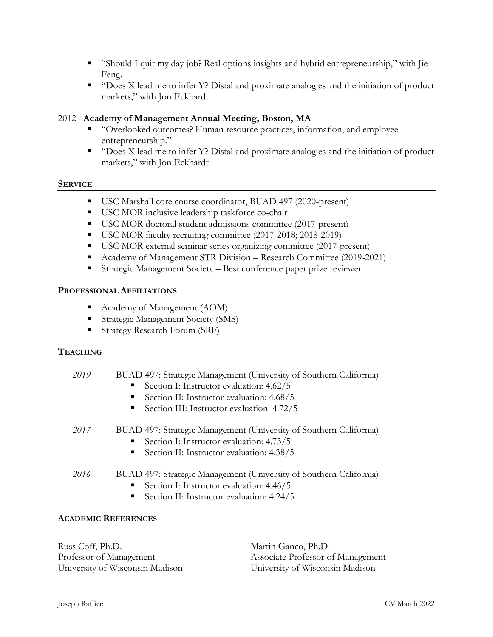- "Should I quit my day job? Real options insights and hybrid entrepreneurship," with Jie Feng.
- " "Does X lead me to infer Y? Distal and proximate analogies and the initiation of product markets," with Jon Eckhardt

## 2012 **Academy of Management Annual Meeting, Boston, MA**

- "Overlooked outcomes? Human resource practices, information, and employee entrepreneurship."
- " $"$  "Does X lead me to infer Y? Distal and proximate analogies and the initiation of product markets," with Jon Eckhardt

#### **SERVICE**

- USC Marshall core course coordinator, BUAD 497 (2020-present)
- USC MOR inclusive leadership taskforce co-chair
- USC MOR doctoral student admissions committee (2017-present)
- USC MOR faculty recruiting committee (2017-2018; 2018-2019)
- USC MOR external seminar series organizing committee (2017-present)
- Academy of Management STR Division Research Committee (2019-2021)
- Strategic Management Society Best conference paper prize reviewer

#### **PROFESSIONAL AFFILIATIONS**

- Academy of Management (AOM)
- **Strategic Management Society (SMS)**
- **Strategy Research Forum (SRF)**

### **TEACHING**

| 2019 | BUAD 497: Strategic Management (University of Southern California)<br>Section I: Instructor evaluation: 4.62/5<br>$\blacksquare$<br>Section II: Instructor evaluation: 4.68/5<br>ш<br>Section III: Instructor evaluation: 4.72/5 |
|------|----------------------------------------------------------------------------------------------------------------------------------------------------------------------------------------------------------------------------------|
| 2017 | BUAD 497: Strategic Management (University of Southern California)<br>Section I: Instructor evaluation: 4.73/5<br>$\blacksquare$ .<br>Section II: Instructor evaluation: 4.38/5<br>п.                                            |
| 2016 | BUAD 497: Strategic Management (University of Southern California)<br>Section I: Instructor evaluation: 4.46/5<br>$\blacksquare$<br>Section II: Instructor evaluation: 4.24/5<br>٠                                               |

### **ACADEMIC REFERENCES**

Russ Coff, Ph.D. Professor of Management University of Wisconsin Madison Martin Ganco, Ph.D. Associate Professor of Management University of Wisconsin Madison